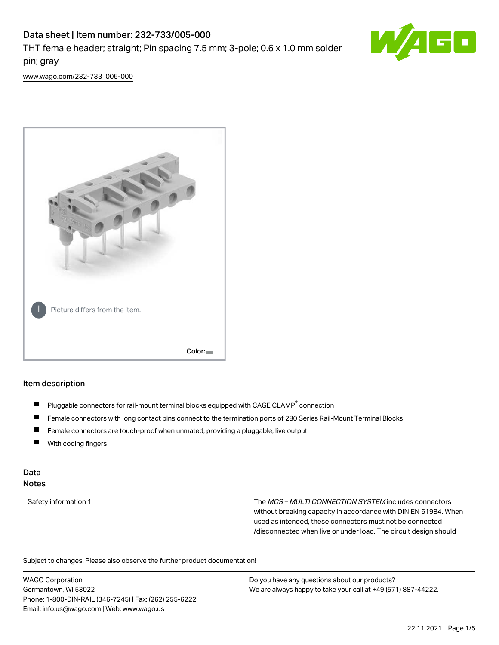# Data sheet | Item number: 232-733/005-000 THT female header; straight; Pin spacing 7.5 mm; 3-pole; 0.6 x 1.0 mm solder pin; gray



[www.wago.com/232-733\\_005-000](http://www.wago.com/232-733_005-000)



#### Item description

- Pluggable connectors for rail-mount terminal blocks equipped with CAGE CLAMP<sup>®</sup> connection П
- П Female connectors with long contact pins connect to the termination ports of 280 Series Rail-Mount Terminal Blocks
- $\blacksquare$ Female connectors are touch-proof when unmated, providing a pluggable, live output
- $\blacksquare$ With coding fingers

#### Data Notes

Safety information 1 The MCS – MULTI CONNECTION SYSTEM includes connectors without breaking capacity in accordance with DIN EN 61984. When used as intended, these connectors must not be connected /disconnected when live or under load. The circuit design should

Subject to changes. Please also observe the further product documentation!  $\mathbf{e}$ 

WAGO Corporation Germantown, WI 53022 Phone: 1-800-DIN-RAIL (346-7245) | Fax: (262) 255-6222 Email: info.us@wago.com | Web: www.wago.us

Do you have any questions about our products? We are always happy to take your call at +49 (571) 887-44222.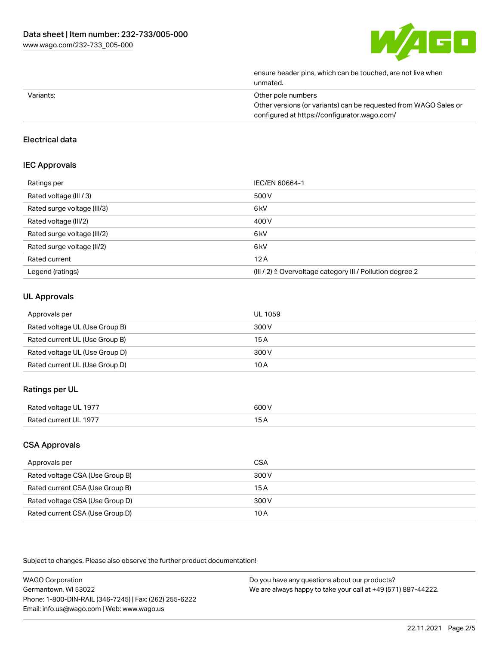

|           | ensure header pins, which can be touched, are not live when<br>unmated. |
|-----------|-------------------------------------------------------------------------|
| Variants: | Other pole numbers                                                      |
|           | Other versions (or variants) can be requested from WAGO Sales or        |
|           | configured at https://configurator.wago.com/                            |

## Electrical data

#### IEC Approvals

| Ratings per                 | IEC/EN 60664-1                                                        |
|-----------------------------|-----------------------------------------------------------------------|
| Rated voltage (III / 3)     | 500 V                                                                 |
| Rated surge voltage (III/3) | 6 <sub>kV</sub>                                                       |
| Rated voltage (III/2)       | 400 V                                                                 |
| Rated surge voltage (III/2) | 6 <sub>kV</sub>                                                       |
| Rated surge voltage (II/2)  | 6 <sub>kV</sub>                                                       |
| Rated current               | 12A                                                                   |
| Legend (ratings)            | $(III / 2)$ $\triangle$ Overvoltage category III / Pollution degree 2 |

## UL Approvals

| Approvals per                  | UL 1059 |
|--------------------------------|---------|
| Rated voltage UL (Use Group B) | 300 V   |
| Rated current UL (Use Group B) | 15 A    |
| Rated voltage UL (Use Group D) | 300 V   |
| Rated current UL (Use Group D) | 10 A    |

#### Ratings per UL

| Rated vol†r<br>1977<br>ີ | 600 V<br>.  |
|--------------------------|-------------|
| + הם<br>10 7 J           | . –<br>____ |

## CSA Approvals

| Approvals per                   | CSA   |
|---------------------------------|-------|
| Rated voltage CSA (Use Group B) | 300 V |
| Rated current CSA (Use Group B) | 15 A  |
| Rated voltage CSA (Use Group D) | 300 V |
| Rated current CSA (Use Group D) | 10 A  |

Subject to changes. Please also observe the further product documentation!

| <b>WAGO Corporation</b>                                | Do you have any questions about our products?                 |
|--------------------------------------------------------|---------------------------------------------------------------|
| Germantown, WI 53022                                   | We are always happy to take your call at +49 (571) 887-44222. |
| Phone: 1-800-DIN-RAIL (346-7245)   Fax: (262) 255-6222 |                                                               |
| Email: info.us@wago.com   Web: www.wago.us             |                                                               |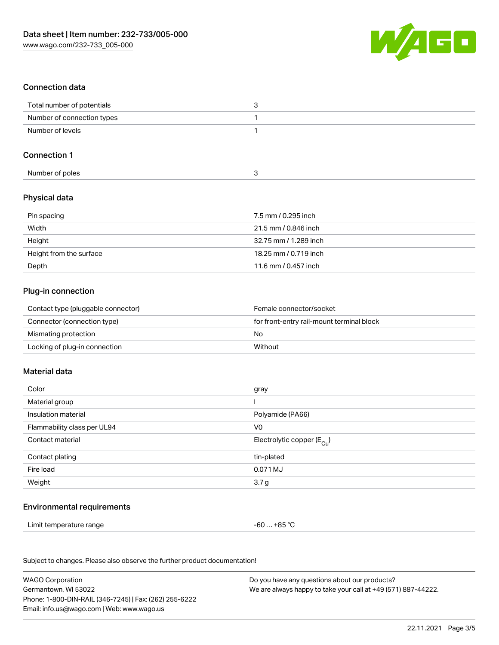

## Connection data

| Total number of potentials |  |
|----------------------------|--|
| Number of connection types |  |
| Number of levels           |  |

#### Connection 1

| Number of poles |  |  |
|-----------------|--|--|

## Physical data

| Pin spacing             | 7.5 mm / 0.295 inch   |
|-------------------------|-----------------------|
| Width                   | 21.5 mm / 0.846 inch  |
| Height                  | 32.75 mm / 1.289 inch |
| Height from the surface | 18.25 mm / 0.719 inch |
| Depth                   | 11.6 mm / 0.457 inch  |

#### Plug-in connection

| Contact type (pluggable connector) | Female connector/socket                   |
|------------------------------------|-------------------------------------------|
| Connector (connection type)        | for front-entry rail-mount terminal block |
| Mismating protection               | No                                        |
| Locking of plug-in connection      | Without                                   |

#### Material data

| Color                       | gray                                  |
|-----------------------------|---------------------------------------|
| Material group              |                                       |
| Insulation material         | Polyamide (PA66)                      |
| Flammability class per UL94 | V0                                    |
| Contact material            | Electrolytic copper $(E_{\text{Cl}})$ |
| Contact plating             | tin-plated                            |
| Fire load                   | 0.071 MJ                              |
| Weight                      | 3.7 <sub>g</sub>                      |
|                             |                                       |

#### Environmental requirements

Limit temperature range  $-60... +85$  °C

Subject to changes. Please also observe the further product documentation!

| <b>WAGO Corporation</b>                                | Do you have any questions about our products?                 |
|--------------------------------------------------------|---------------------------------------------------------------|
| Germantown, WI 53022                                   | We are always happy to take your call at +49 (571) 887-44222. |
| Phone: 1-800-DIN-RAIL (346-7245)   Fax: (262) 255-6222 |                                                               |
| Email: info.us@wago.com   Web: www.wago.us             |                                                               |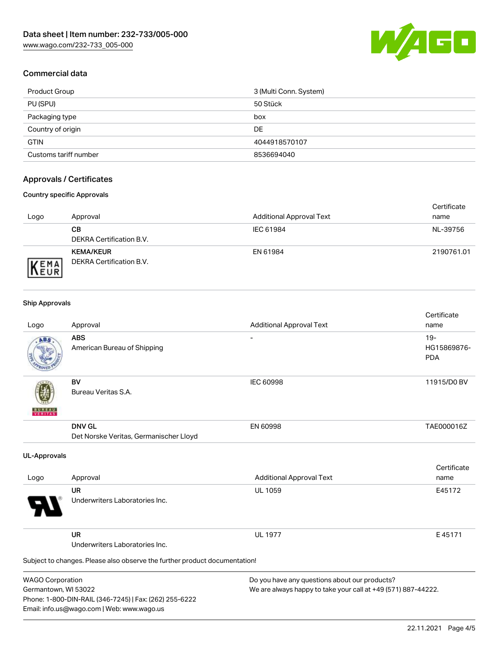

## Commercial data

| Product Group         | 3 (Multi Conn. System) |
|-----------------------|------------------------|
| PU (SPU)              | 50 Stück               |
| Packaging type        | box                    |
| Country of origin     | <b>DE</b>              |
| <b>GTIN</b>           | 4044918570107          |
| Customs tariff number | 8536694040             |

## Approvals / Certificates

#### Country specific Approvals

| Logo                | Approval                                            | <b>Additional Approval Text</b> | Certificate<br>name |
|---------------------|-----------------------------------------------------|---------------------------------|---------------------|
|                     | CВ<br>DEKRA Certification B.V.                      | IEC 61984                       | NL-39756            |
| EMA<br><b>INEUR</b> | <b>KEMA/KEUR</b><br><b>DEKRA Certification B.V.</b> | EN 61984                        | 2190761.01          |

#### Ship Approvals

Email: info.us@wago.com | Web: www.wago.us

| Logo                                            | Approval                                                                   | <b>Additional Approval Text</b>                                                                                | Certificate<br>name                |
|-------------------------------------------------|----------------------------------------------------------------------------|----------------------------------------------------------------------------------------------------------------|------------------------------------|
| ABS                                             | <b>ABS</b><br>American Bureau of Shipping                                  |                                                                                                                | $19-$<br>HG15869876-<br><b>PDA</b> |
|                                                 | <b>BV</b><br>Bureau Veritas S.A.                                           | <b>IEC 60998</b>                                                                                               | 11915/D0 BV                        |
|                                                 | <b>DNV GL</b><br>Det Norske Veritas, Germanischer Lloyd                    | EN 60998                                                                                                       | TAE000016Z                         |
| <b>UL-Approvals</b>                             |                                                                            |                                                                                                                |                                    |
| Logo                                            | Approval                                                                   | <b>Additional Approval Text</b>                                                                                | Certificate<br>name                |
|                                                 | <b>UR</b><br>Underwriters Laboratories Inc.                                | <b>UL 1059</b>                                                                                                 | E45172                             |
|                                                 | <b>UR</b><br>Underwriters Laboratories Inc.                                | <b>UL 1977</b>                                                                                                 | E45171                             |
|                                                 | Subject to changes. Please also observe the further product documentation! |                                                                                                                |                                    |
| <b>WAGO Corporation</b><br>Germantown, WI 53022 | Phone: 1-800-DIN-RAIL (346-7245)   Fax: (262) 255-6222                     | Do you have any questions about our products?<br>We are always happy to take your call at +49 (571) 887-44222. |                                    |